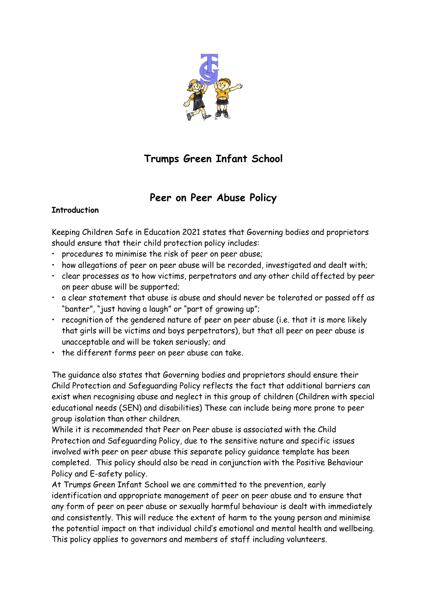

# **Trumps Green Infant School**

## **Peer on Peer Abuse Policy**

## **Introduction**

Keeping Children Safe in Education 2021 states that Governing bodies and proprietors should ensure that their child protection policy includes:

- procedures to minimise the risk of peer on peer abuse;
- how allegations of peer on peer abuse will be recorded, investigated and dealt with;
- clear processes as to how victims, perpetrators and any other child affected by peer on peer abuse will be supported;
- a clear statement that abuse is abuse and should never be tolerated or passed off as "banter", "just having a laugh" or "part of growing up";
- recognition of the gendered nature of peer on peer abuse (i.e. that it is more likely that girls will be victims and boys perpetrators), but that all peer on peer abuse is unacceptable and will be taken seriously; and
- the different forms peer on peer abuse can take.

The guidance also states that Governing bodies and proprietors should ensure their Child Protection and Safeguarding Policy reflects the fact that additional barriers can exist when recognising abuse and neglect in this group of children (Children with special educational needs (SEN) and disabilities) These can include being more prone to peer group isolation than other children.

While it is recommended that Peer on Peer abuse is associated with the Child Protection and Safeguarding Policy, due to the sensitive nature and specific issues involved with peer on peer abuse this separate policy guidance template has been completed. This policy should also be read in conjunction with the Positive Behaviour Policy and E-safety policy.

At Trumps Green Infant School we are committed to the prevention, early identification and appropriate management of peer on peer abuse and to ensure that any form of peer on peer abuse or sexually harmful behaviour is dealt with immediately and consistently. This will reduce the extent of harm to the young person and minimise the potential impact on that individual child's emotional and mental health and wellbeing. This policy applies to governors and members of staff including volunteers.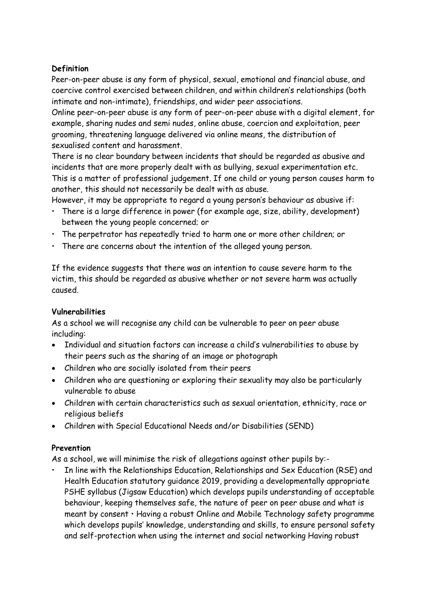## **Definition**

Peer-on-peer abuse is any form of physical, sexual, emotional and financial abuse, and coercive control exercised between children, and within children's relationships (both intimate and non-intimate), friendships, and wider peer associations.

Online peer-on-peer abuse is any form of peer-on-peer abuse with a digital element, for example, sharing nudes and semi nudes, online abuse, coercion and exploitation, peer grooming, threatening language delivered via online means, the distribution of sexualised content and harassment.

There is no clear boundary between incidents that should be regarded as abusive and incidents that are more properly dealt with as bullying, sexual experimentation etc. This is a matter of professional judgement. If one child or young person causes harm to another, this should not necessarily be dealt with as abuse.

- However, it may be appropriate to regard a young person's behaviour as abusive if:
- There is a large difference in power (for example age, size, ability, development) between the young people concerned; or
- The perpetrator has repeatedly tried to harm one or more other children; or
- There are concerns about the intention of the alleged young person.

If the evidence suggests that there was an intention to cause severe harm to the victim, this should be regarded as abusive whether or not severe harm was actually caused.

#### **Vulnerabilities**

As a school we will recognise any child can be vulnerable to peer on peer abuse including:

- Individual and situation factors can increase a child's vulnerabilities to abuse by their peers such as the sharing of an image or photograph
- Children who are socially isolated from their peers
- Children who are questioning or exploring their sexuality may also be particularly vulnerable to abuse
- Children with certain characteristics such as sexual orientation, ethnicity, race or religious beliefs
- Children with Special Educational Needs and/or Disabilities (SEND)

## **Prevention**

As a school, we will minimise the risk of allegations against other pupils by:-

• In line with the Relationships Education, Relationships and Sex Education (RSE) and Health Education statutory guidance 2019, providing a developmentally appropriate PSHE syllabus (Jigsaw Education) which develops pupils understanding of acceptable behaviour, keeping themselves safe, the nature of peer on peer abuse and what is meant by consent • Having a robust Online and Mobile Technology safety programme which develops pupils' knowledge, understanding and skills, to ensure personal safety and self-protection when using the internet and social networking Having robust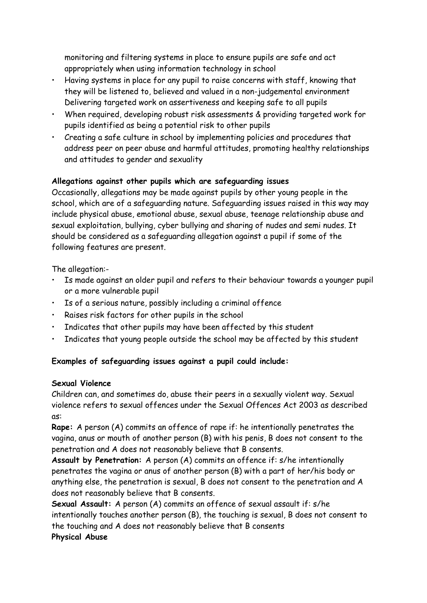monitoring and filtering systems in place to ensure pupils are safe and act appropriately when using information technology in school

- Having systems in place for any pupil to raise concerns with staff, knowing that they will be listened to, believed and valued in a non-judgemental environment Delivering targeted work on assertiveness and keeping safe to all pupils
- When required, developing robust risk assessments & providing targeted work for pupils identified as being a potential risk to other pupils
- Creating a safe culture in school by implementing policies and procedures that address peer on peer abuse and harmful attitudes, promoting healthy relationships and attitudes to gender and sexuality

## **Allegations against other pupils which are safeguarding issues**

Occasionally, allegations may be made against pupils by other young people in the school, which are of a safeguarding nature. Safeguarding issues raised in this way may include physical abuse, emotional abuse, sexual abuse, teenage relationship abuse and sexual exploitation, bullying, cyber bullying and sharing of nudes and semi nudes. It should be considered as a safeguarding allegation against a pupil if some of the following features are present.

The allegation:-

- Is made against an older pupil and refers to their behaviour towards a younger pupil or a more vulnerable pupil
- Is of a serious nature, possibly including a criminal offence
- Raises risk factors for other pupils in the school
- Indicates that other pupils may have been affected by this student
- Indicates that young people outside the school may be affected by this student

## **Examples of safeguarding issues against a pupil could include:**

## **Sexual Violence**

Children can, and sometimes do, abuse their peers in a sexually violent way. Sexual violence refers to sexual offences under the Sexual Offences Act 2003 as described  $as:$ 

**Rape:** A person (A) commits an offence of rape if: he intentionally penetrates the vagina, anus or mouth of another person (B) with his penis, B does not consent to the penetration and A does not reasonably believe that B consents.

**Assault by Penetration:** A person (A) commits an offence if: s/he intentionally penetrates the vagina or anus of another person (B) with a part of her/his body or anything else, the penetration is sexual, B does not consent to the penetration and A does not reasonably believe that B consents.

**Sexual Assault:** A person (A) commits an offence of sexual assault if: s/he intentionally touches another person (B), the touching is sexual, B does not consent to the touching and A does not reasonably believe that B consents **Physical Abuse**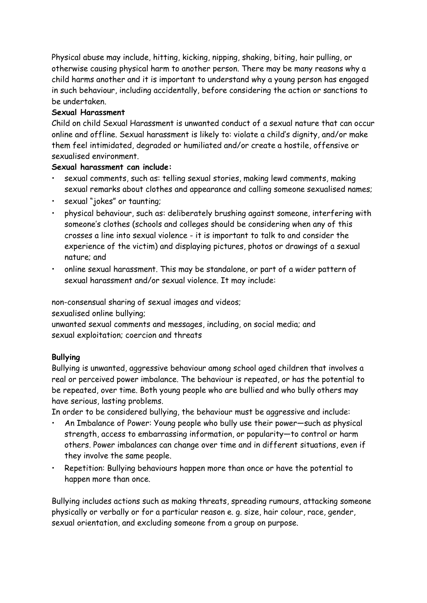Physical abuse may include, hitting, kicking, nipping, shaking, biting, hair pulling, or otherwise causing physical harm to another person. There may be many reasons why a child harms another and it is important to understand why a young person has engaged in such behaviour, including accidentally, before considering the action or sanctions to be undertaken.

## **Sexual Harassment**

Child on child Sexual Harassment is unwanted conduct of a sexual nature that can occur online and offline. Sexual harassment is likely to: violate a child's dignity, and/or make them feel intimidated, degraded or humiliated and/or create a hostile, offensive or sexualised environment.

#### **Sexual harassment can include:**

- sexual comments, such as: telling sexual stories, making lewd comments, making sexual remarks about clothes and appearance and calling someone sexualised names;
- sexual "jokes" or taunting;
- physical behaviour, such as: deliberately brushing against someone, interfering with someone's clothes (schools and colleges should be considering when any of this crosses a line into sexual violence - it is important to talk to and consider the experience of the victim) and displaying pictures, photos or drawings of a sexual nature; and
- online sexual harassment. This may be standalone, or part of a wider pattern of sexual harassment and/or sexual violence. It may include:

non-consensual sharing of sexual images and videos;

sexualised online bullying;

unwanted sexual comments and messages, including, on social media; and sexual exploitation; coercion and threats

## **Bullying**

Bullying is unwanted, aggressive behaviour among school aged children that involves a real or perceived power imbalance. The behaviour is repeated, or has the potential to be repeated, over time. Both young people who are bullied and who bully others may have serious, lasting problems.

In order to be considered bullying, the behaviour must be aggressive and include:

- An Imbalance of Power: Young people who bully use their power—such as physical strength, access to embarrassing information, or popularity—to control or harm others. Power imbalances can change over time and in different situations, even if they involve the same people.
- Repetition: Bullying behaviours happen more than once or have the potential to happen more than once.

Bullying includes actions such as making threats, spreading rumours, attacking someone physically or verbally or for a particular reason e. g. size, hair colour, race, gender, sexual orientation, and excluding someone from a group on purpose.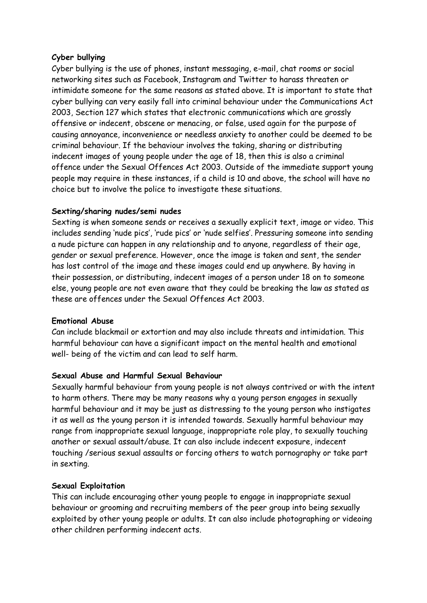#### **Cyber bullying**

Cyber bullying is the use of phones, instant messaging, e-mail, chat rooms or social networking sites such as Facebook, Instagram and Twitter to harass threaten or intimidate someone for the same reasons as stated above. It is important to state that cyber bullying can very easily fall into criminal behaviour under the Communications Act 2003, Section 127 which states that electronic communications which are grossly offensive or indecent, obscene or menacing, or false, used again for the purpose of causing annoyance, inconvenience or needless anxiety to another could be deemed to be criminal behaviour. If the behaviour involves the taking, sharing or distributing indecent images of young people under the age of 18, then this is also a criminal offence under the Sexual Offences Act 2003. Outside of the immediate support young people may require in these instances, if a child is 10 and above, the school will have no choice but to involve the police to investigate these situations.

#### **Sexting/sharing nudes/semi nudes**

Sexting is when someone sends or receives a sexually explicit text, image or video. This includes sending 'nude pics', 'rude pics' or 'nude selfies'. Pressuring someone into sending a nude picture can happen in any relationship and to anyone, regardless of their age, gender or sexual preference. However, once the image is taken and sent, the sender has lost control of the image and these images could end up anywhere. By having in their possession, or distributing, indecent images of a person under 18 on to someone else, young people are not even aware that they could be breaking the law as stated as these are offences under the Sexual Offences Act 2003.

#### **Emotional Abuse**

Can include blackmail or extortion and may also include threats and intimidation. This harmful behaviour can have a significant impact on the mental health and emotional well- being of the victim and can lead to self harm.

#### **Sexual Abuse and Harmful Sexual Behaviour**

Sexually harmful behaviour from young people is not always contrived or with the intent to harm others. There may be many reasons why a young person engages in sexually harmful behaviour and it may be just as distressing to the young person who instigates it as well as the young person it is intended towards. Sexually harmful behaviour may range from inappropriate sexual language, inappropriate role play, to sexually touching another or sexual assault/abuse. It can also include indecent exposure, indecent touching /serious sexual assaults or forcing others to watch pornography or take part in sexting.

## **Sexual Exploitation**

This can include encouraging other young people to engage in inappropriate sexual behaviour or grooming and recruiting members of the peer group into being sexually exploited by other young people or adults. It can also include photographing or videoing other children performing indecent acts.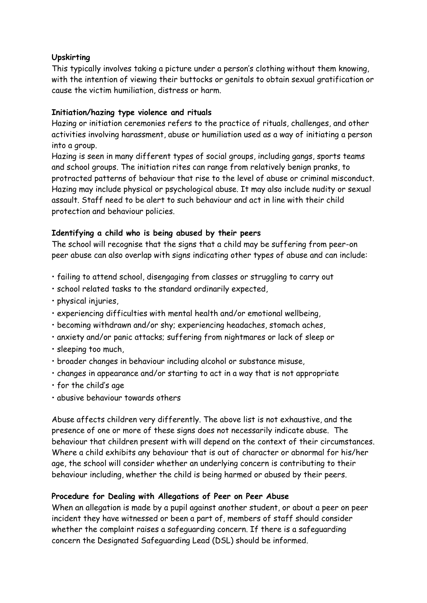#### **Upskirting**

This typically involves taking a picture under a person's clothing without them knowing, with the intention of viewing their buttocks or genitals to obtain sexual gratification or cause the victim humiliation, distress or harm.

#### **Initiation/hazing type violence and rituals**

Hazing or initiation ceremonies refers to the practice of rituals, challenges, and other activities involving harassment, abuse or humiliation used as a way of initiating a person into a group.

Hazing is seen in many different types of social groups, including gangs, sports teams and school groups. The initiation rites can range from relatively benign pranks, to protracted patterns of behaviour that rise to the level of abuse or criminal misconduct. Hazing may include physical or psychological abuse. It may also include nudity or sexual assault. Staff need to be alert to such behaviour and act in line with their child protection and behaviour policies.

## **Identifying a child who is being abused by their peers**

The school will recognise that the signs that a child may be suffering from peer-on peer abuse can also overlap with signs indicating other types of abuse and can include:

- failing to attend school, disengaging from classes or struggling to carry out
- school related tasks to the standard ordinarily expected,
- physical injuries,
- experiencing difficulties with mental health and/or emotional wellbeing,
- becoming withdrawn and/or shy; experiencing headaches, stomach aches,
- anxiety and/or panic attacks; suffering from nightmares or lack of sleep or
- sleeping too much,
- broader changes in behaviour including alcohol or substance misuse,
- changes in appearance and/or starting to act in a way that is not appropriate
- for the child's age
- abusive behaviour towards others

Abuse affects children very differently. The above list is not exhaustive, and the presence of one or more of these signs does not necessarily indicate abuse. The behaviour that children present with will depend on the context of their circumstances. Where a child exhibits any behaviour that is out of character or abnormal for his/her age, the school will consider whether an underlying concern is contributing to their behaviour including, whether the child is being harmed or abused by their peers.

#### **Procedure for Dealing with Allegations of Peer on Peer Abuse**

When an allegation is made by a pupil against another student, or about a peer on peer incident they have witnessed or been a part of, members of staff should consider whether the complaint raises a safeguarding concern. If there is a safeguarding concern the Designated Safeguarding Lead (DSL) should be informed.